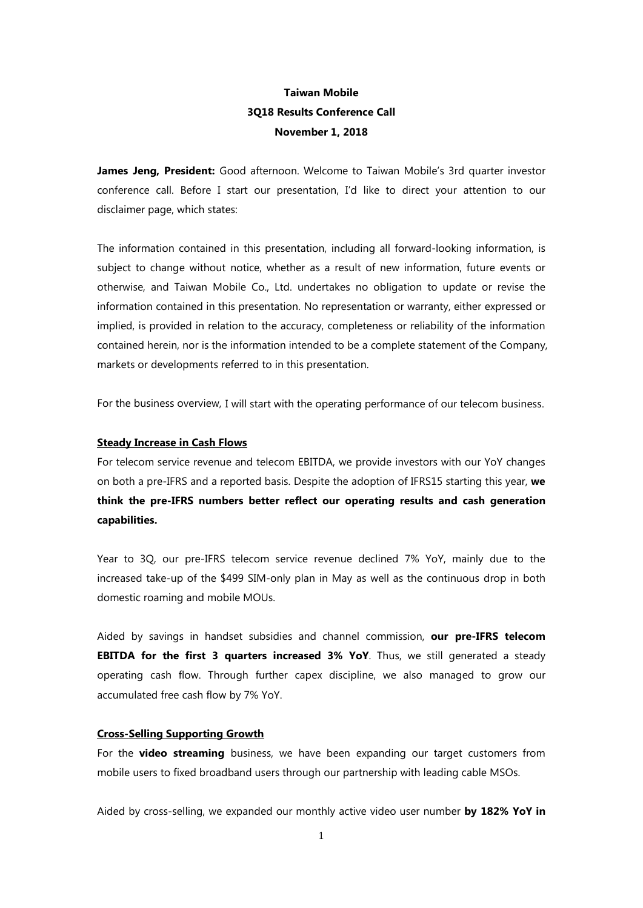# **Taiwan Mobile 3Q18 Results Conference Call November 1, 2018**

**James Jeng, President:** Good afternoon. Welcome to Taiwan Mobile's 3rd quarter investor conference call. Before I start our presentation, I'd like to direct your attention to our disclaimer page, which states:

The information contained in this presentation, including all forward-looking information, is subject to change without notice, whether as a result of new information, future events or otherwise, and Taiwan Mobile Co., Ltd. undertakes no obligation to update or revise the information contained in this presentation. No representation or warranty, either expressed or implied, is provided in relation to the accuracy, completeness or reliability of the information contained herein, nor is the information intended to be a complete statement of the Company, markets or developments referred to in this presentation.

For the business overview, I will start with the operating performance of our telecom business.

## **Steady Increase in Cash Flows**

For telecom service revenue and telecom EBITDA, we provide investors with our YoY changes on both a pre-IFRS and a reported basis. Despite the adoption of IFRS15 starting this year, **we think the pre-IFRS numbers better reflect our operating results and cash generation capabilities.** 

Year to 3Q, our pre-IFRS telecom service revenue declined 7% YoY, mainly due to the increased take-up of the \$499 SIM-only plan in May as well as the continuous drop in both domestic roaming and mobile MOUs.

Aided by savings in handset subsidies and channel commission, **our pre-IFRS telecom EBITDA for the first 3 quarters increased 3% YoY**. Thus, we still generated a steady operating cash flow. Through further capex discipline, we also managed to grow our accumulated free cash flow by 7% YoY.

## **Cross-Selling Supporting Growth**

For the **video streaming** business, we have been expanding our target customers from mobile users to fixed broadband users through our partnership with leading cable MSOs.

Aided by cross-selling, we expanded our monthly active video user number **by 182% YoY in**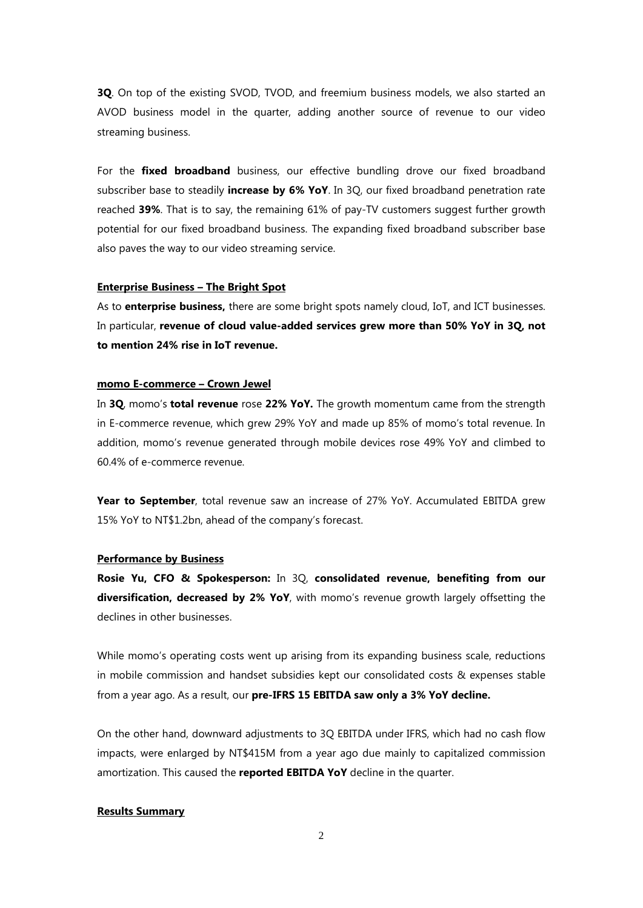**3Q**. On top of the existing SVOD, TVOD, and freemium business models, we also started an AVOD business model in the quarter, adding another source of revenue to our video streaming business.

For the **fixed broadband** business, our effective bundling drove our fixed broadband subscriber base to steadily **increase by 6% YoY**. In 3Q, our fixed broadband penetration rate reached **39%**. That is to say, the remaining 61% of pay-TV customers suggest further growth potential for our fixed broadband business. The expanding fixed broadband subscriber base also paves the way to our video streaming service.

## **Enterprise Business – The Bright Spot**

As to **enterprise business,** there are some bright spots namely cloud, IoT, and ICT businesses. In particular, **revenue of cloud value-added services grew more than 50% YoY in 3Q, not to mention 24% rise in IoT revenue.**

### **momo E-commerce – Crown Jewel**

In **3Q**, momo's **total revenue** rose **22% YoY.** The growth momentum came from the strength in E-commerce revenue, which grew 29% YoY and made up 85% of momo's total revenue. In addition, momo's revenue generated through mobile devices rose 49% YoY and climbed to 60.4% of e-commerce revenue.

Year to September, total revenue saw an increase of 27% YoY. Accumulated EBITDA grew 15% YoY to NT\$1.2bn, ahead of the company's forecast.

## **Performance by Business**

**Rosie Yu, CFO & Spokesperson:** In 3Q, **consolidated revenue, benefiting from our diversification, decreased by 2% YoY**, with momo's revenue growth largely offsetting the declines in other businesses.

While momo's operating costs went up arising from its expanding business scale, reductions in mobile commission and handset subsidies kept our consolidated costs & expenses stable from a year ago. As a result, our **pre-IFRS 15 EBITDA saw only a 3% YoY decline.** 

On the other hand, downward adjustments to 3Q EBITDA under IFRS, which had no cash flow impacts, were enlarged by NT\$415M from a year ago due mainly to capitalized commission amortization. This caused the **reported EBITDA YoY** decline in the quarter.

## **Results Summary**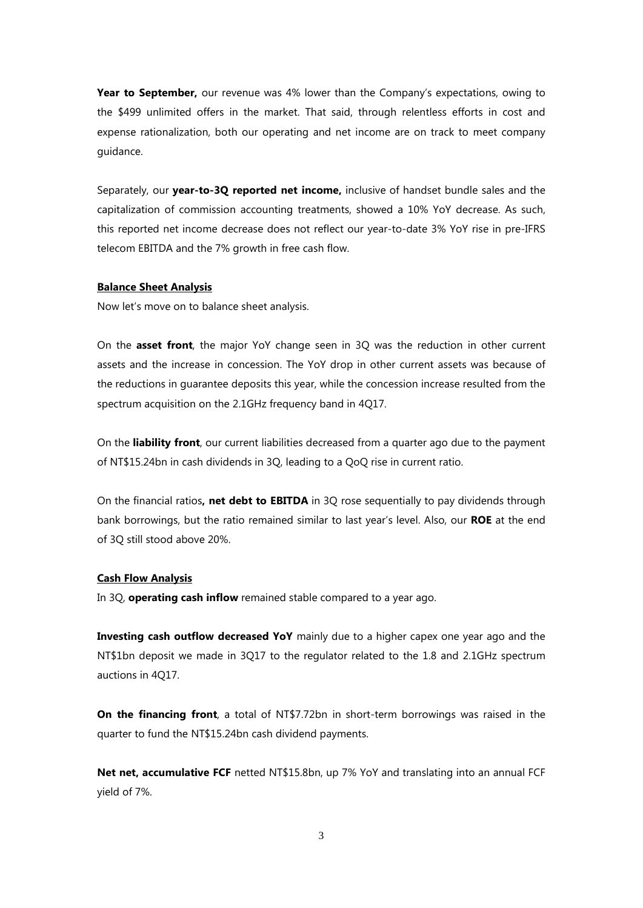Year to September, our revenue was 4% lower than the Company's expectations, owing to the \$499 unlimited offers in the market. That said, through relentless efforts in cost and expense rationalization, both our operating and net income are on track to meet company guidance.

Separately, our **year-to-3Q reported net income,** inclusive of handset bundle sales and the capitalization of commission accounting treatments, showed a 10% YoY decrease. As such, this reported net income decrease does not reflect our year-to-date 3% YoY rise in pre-IFRS telecom EBITDA and the 7% growth in free cash flow.

#### **Balance Sheet Analysis**

Now let's move on to balance sheet analysis.

On the **asset front**, the major YoY change seen in 3Q was the reduction in other current assets and the increase in concession. The YoY drop in other current assets was because of the reductions in guarantee deposits this year, while the concession increase resulted from the spectrum acquisition on the 2.1GHz frequency band in 4Q17.

On the **liability front**, our current liabilities decreased from a quarter ago due to the payment of NT\$15.24bn in cash dividends in 3Q, leading to a QoQ rise in current ratio.

On the financial ratios**, net debt to EBITDA** in 3Q rose sequentially to pay dividends through bank borrowings, but the ratio remained similar to last year's level. Also, our **ROE** at the end of 3Q still stood above 20%.

#### **Cash Flow Analysis**

In 3Q, **operating cash inflow** remained stable compared to a year ago.

**Investing cash outflow decreased YoY** mainly due to a higher capex one year ago and the NT\$1bn deposit we made in 3Q17 to the regulator related to the 1.8 and 2.1GHz spectrum auctions in 4Q17.

**On the financing front**, a total of NT\$7.72bn in short-term borrowings was raised in the quarter to fund the NT\$15.24bn cash dividend payments.

**Net net, accumulative FCF** netted NT\$15.8bn, up 7% YoY and translating into an annual FCF yield of 7%.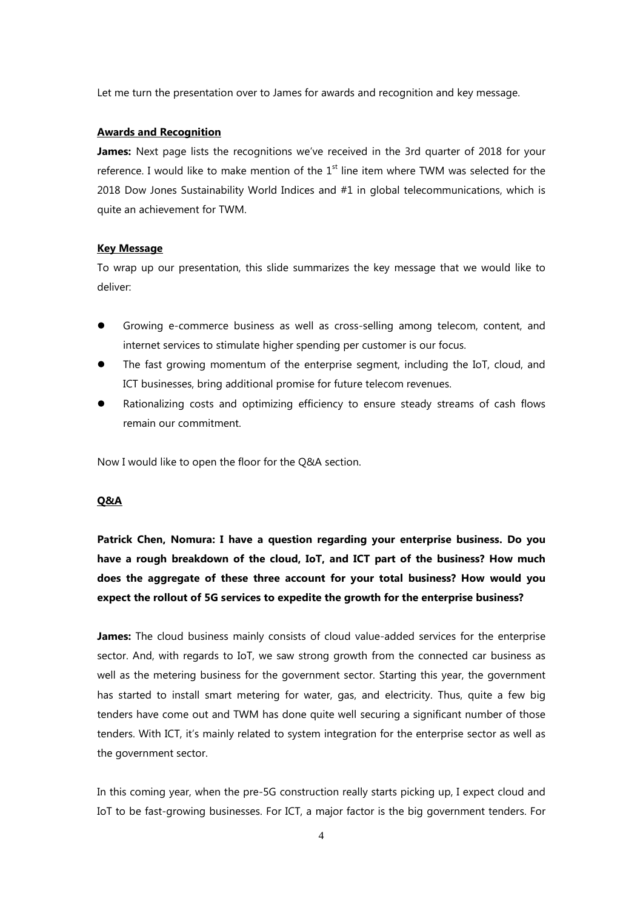Let me turn the presentation over to James for awards and recognition and key message.

## **Awards and Recognition**

**James:** Next page lists the recognitions we've received in the 3rd quarter of 2018 for your reference. I would like to make mention of the  $1<sup>st</sup>$  line item where TWM was selected for the 2018 Dow Jones Sustainability World Indices and #1 in global telecommunications, which is quite an achievement for TWM.

#### **Key Message**

To wrap up our presentation, this slide summarizes the key message that we would like to deliver:

- Growing e-commerce business as well as cross-selling among telecom, content, and internet services to stimulate higher spending per customer is our focus.
- The fast growing momentum of the enterprise segment, including the IoT, cloud, and ICT businesses, bring additional promise for future telecom revenues.
- Rationalizing costs and optimizing efficiency to ensure steady streams of cash flows remain our commitment.

Now I would like to open the floor for the Q&A section.

## **Q&A**

**Patrick Chen, Nomura: I have a question regarding your enterprise business. Do you have a rough breakdown of the cloud, IoT, and ICT part of the business? How much does the aggregate of these three account for your total business? How would you expect the rollout of 5G services to expedite the growth for the enterprise business?**

**James:** The cloud business mainly consists of cloud value-added services for the enterprise sector. And, with regards to IoT, we saw strong growth from the connected car business as well as the metering business for the government sector. Starting this year, the government has started to install smart metering for water, gas, and electricity. Thus, quite a few big tenders have come out and TWM has done quite well securing a significant number of those tenders. With ICT, it's mainly related to system integration for the enterprise sector as well as the government sector.

In this coming year, when the pre-5G construction really starts picking up, I expect cloud and IoT to be fast-growing businesses. For ICT, a major factor is the big government tenders. For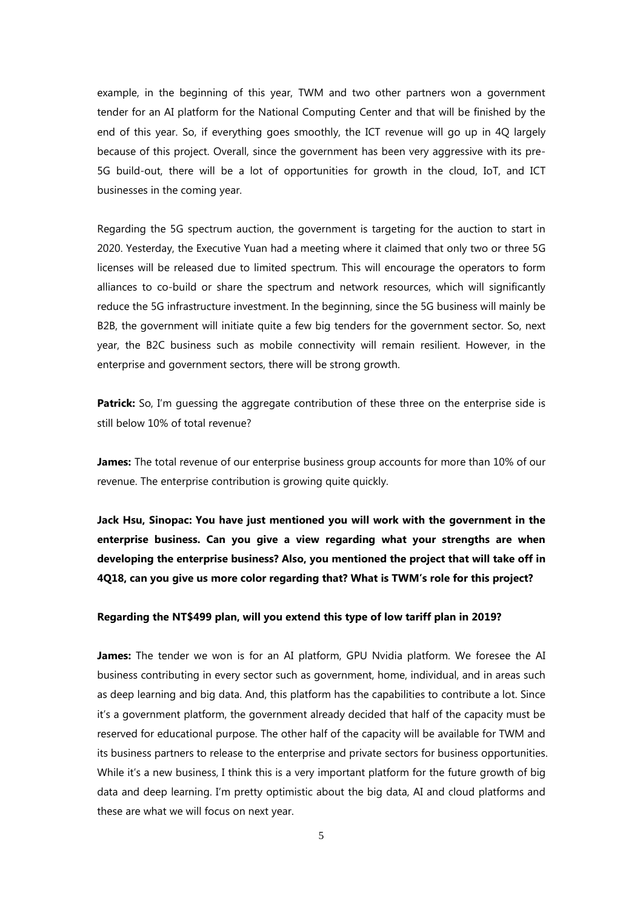example, in the beginning of this year, TWM and two other partners won a government tender for an AI platform for the National Computing Center and that will be finished by the end of this year. So, if everything goes smoothly, the ICT revenue will go up in 4Q largely because of this project. Overall, since the government has been very aggressive with its pre-5G build-out, there will be a lot of opportunities for growth in the cloud, IoT, and ICT businesses in the coming year.

Regarding the 5G spectrum auction, the government is targeting for the auction to start in 2020. Yesterday, the Executive Yuan had a meeting where it claimed that only two or three 5G licenses will be released due to limited spectrum. This will encourage the operators to form alliances to co-build or share the spectrum and network resources, which will significantly reduce the 5G infrastructure investment. In the beginning, since the 5G business will mainly be B2B, the government will initiate quite a few big tenders for the government sector. So, next year, the B2C business such as mobile connectivity will remain resilient. However, in the enterprise and government sectors, there will be strong growth.

**Patrick:** So, I'm quessing the aggregate contribution of these three on the enterprise side is still below 10% of total revenue?

**James:** The total revenue of our enterprise business group accounts for more than 10% of our revenue. The enterprise contribution is growing quite quickly.

**Jack Hsu, Sinopac: You have just mentioned you will work with the government in the enterprise business. Can you give a view regarding what your strengths are when developing the enterprise business? Also, you mentioned the project that will take off in 4Q18, can you give us more color regarding that? What is TWM's role for this project?**

#### **Regarding the NT\$499 plan, will you extend this type of low tariff plan in 2019?**

**James:** The tender we won is for an AI platform, GPU Nvidia platform. We foresee the AI business contributing in every sector such as government, home, individual, and in areas such as deep learning and big data. And, this platform has the capabilities to contribute a lot. Since it's a government platform, the government already decided that half of the capacity must be reserved for educational purpose. The other half of the capacity will be available for TWM and its business partners to release to the enterprise and private sectors for business opportunities. While it's a new business, I think this is a very important platform for the future growth of big data and deep learning. I'm pretty optimistic about the big data, AI and cloud platforms and these are what we will focus on next year.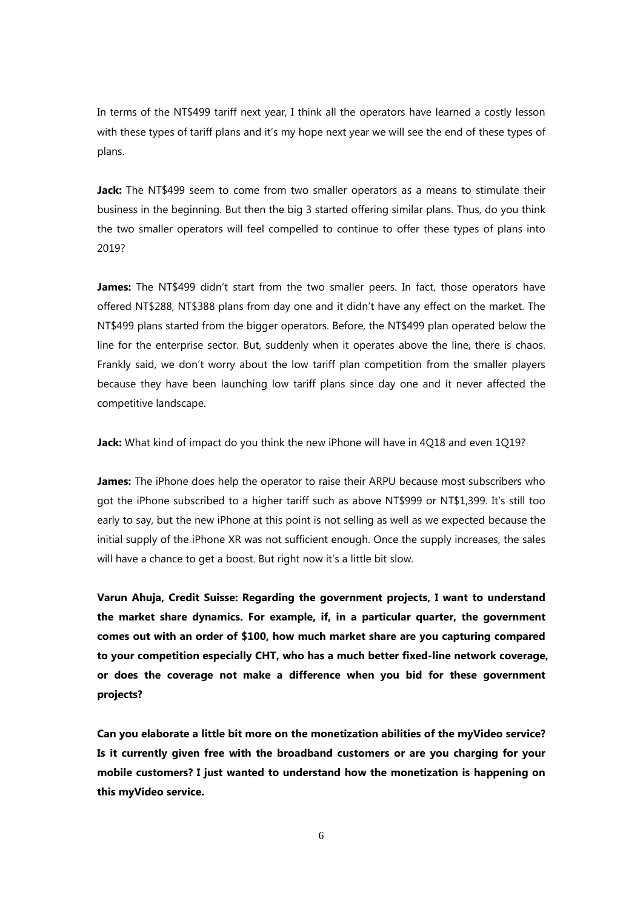In terms of the NT\$499 tariff next year, I think all the operators have learned a costly lesson with these types of tariff plans and it's my hope next year we will see the end of these types of plans.

**Jack:** The NT\$499 seem to come from two smaller operators as a means to stimulate their business in the beginning. But then the big 3 started offering similar plans. Thus, do you think the two smaller operators will feel compelled to continue to offer these types of plans into 2019?

**James:** The NT\$499 didn't start from the two smaller peers. In fact, those operators have offered NT\$288, NT\$388 plans from day one and it didn't have any effect on the market. The NT\$499 plans started from the bigger operators. Before, the NT\$499 plan operated below the line for the enterprise sector. But, suddenly when it operates above the line, there is chaos. Frankly said, we don't worry about the low tariff plan competition from the smaller players because they have been launching low tariff plans since day one and it never affected the competitive landscape.

**Jack:** What kind of impact do you think the new iPhone will have in 4Q18 and even 1Q19?

**James:** The iPhone does help the operator to raise their ARPU because most subscribers who got the iPhone subscribed to a higher tariff such as above NT\$999 or NT\$1,399. It's still too early to say, but the new iPhone at this point is not selling as well as we expected because the initial supply of the iPhone XR was not sufficient enough. Once the supply increases, the sales will have a chance to get a boost. But right now it's a little bit slow.

**Varun Ahuja, Credit Suisse: Regarding the government projects, I want to understand the market share dynamics. For example, if, in a particular quarter, the government comes out with an order of \$100, how much market share are you capturing compared to your competition especially CHT, who has a much better fixed-line network coverage, or does the coverage not make a difference when you bid for these government projects?**

**Can you elaborate a little bit more on the monetization abilities of the myVideo service? Is it currently given free with the broadband customers or are you charging for your mobile customers? I just wanted to understand how the monetization is happening on this myVideo service.**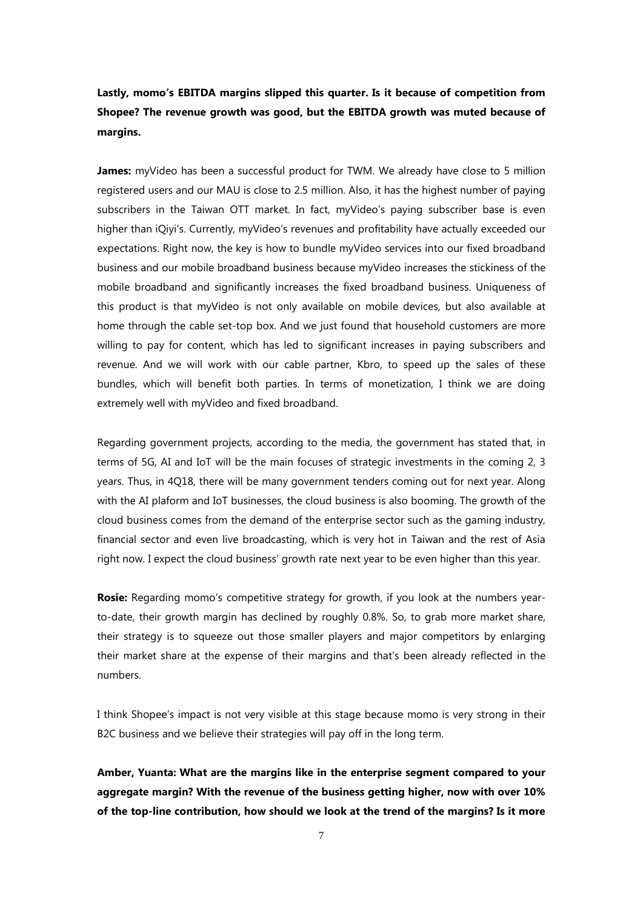**Lastly, momo's EBITDA margins slipped this quarter. Is it because of competition from Shopee? The revenue growth was good, but the EBITDA growth was muted because of margins.**

James: myVideo has been a successful product for TWM. We already have close to 5 million registered users and our MAU is close to 2.5 million. Also, it has the highest number of paying subscribers in the Taiwan OTT market. In fact, myVideo's paying subscriber base is even higher than iQiyi's. Currently, myVideo's revenues and profitability have actually exceeded our expectations. Right now, the key is how to bundle myVideo services into our fixed broadband business and our mobile broadband business because myVideo increases the stickiness of the mobile broadband and significantly increases the fixed broadband business. Uniqueness of this product is that myVideo is not only available on mobile devices, but also available at home through the cable set-top box. And we just found that household customers are more willing to pay for content, which has led to significant increases in paying subscribers and revenue. And we will work with our cable partner, Kbro, to speed up the sales of these bundles, which will benefit both parties. In terms of monetization, I think we are doing extremely well with myVideo and fixed broadband.

Regarding government projects, according to the media, the government has stated that, in terms of 5G, AI and IoT will be the main focuses of strategic investments in the coming 2, 3 years. Thus, in 4Q18, there will be many government tenders coming out for next year. Along with the AI plaform and IoT businesses, the cloud business is also booming. The growth of the cloud business comes from the demand of the enterprise sector such as the gaming industry, financial sector and even live broadcasting, which is very hot in Taiwan and the rest of Asia right now. I expect the cloud business' growth rate next year to be even higher than this year.

**Rosie:** Regarding momo's competitive strategy for growth, if you look at the numbers yearto-date, their growth margin has declined by roughly 0.8%. So, to grab more market share, their strategy is to squeeze out those smaller players and major competitors by enlarging their market share at the expense of their margins and that's been already reflected in the numbers.

I think Shopee's impact is not very visible at this stage because momo is very strong in their B2C business and we believe their strategies will pay off in the long term.

**Amber, Yuanta: What are the margins like in the enterprise segment compared to your aggregate margin? With the revenue of the business getting higher, now with over 10% of the top-line contribution, how should we look at the trend of the margins? Is it more**